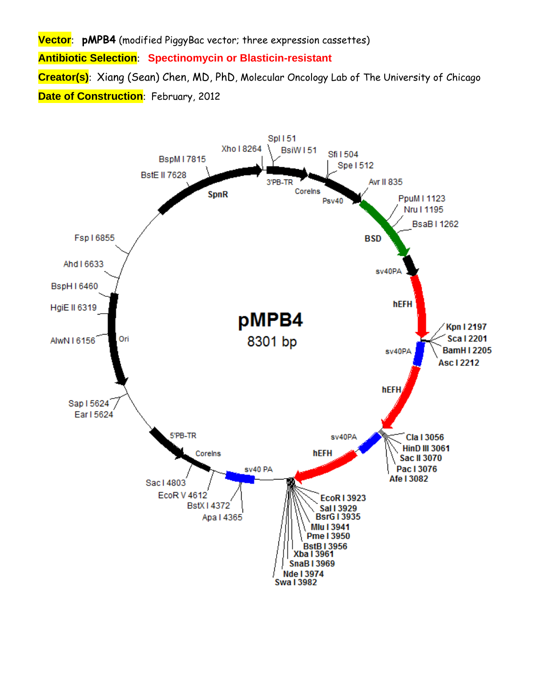**Vector**: **pMPB4** (modified PiggyBac vector; three expression cassettes) **Antibiotic Selection**: **Spectinomycin or Blasticin-resistant Creator(s)**: Xiang (Sean) Chen, MD, PhD, Molecular Oncology Lab of The University of Chicago **Date of Construction**: February, 2012

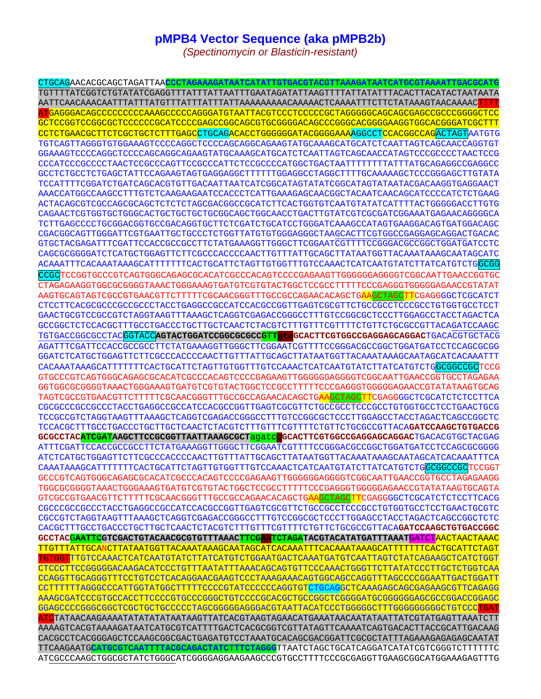## **pMPB4 Vector Sequence (aka pMPB2b)**

*(Spectinomycin or Blasticin-resistant)* 

CTGCAGAACACGCAGCTAGATTAA**CCCTAGAAAGATAATCATATTGTGACGTACGTTAAAGATAATCATGCGTAAAATTGACGCATG** TGTTTTATCGGTCTGTATATCGAGGTTTATTTATTAATTTGAATAGATATTAAGTTTTATTATATTTACACTTACATACTAATAATA AATTCAACAAACAATTTATTTATGTTTATTTATTTATTAAAAAAAAACAAAAACTCAAAATTTCTTCTATAAAGTAACAAAACTTTT ATGAGGGACAGCCCCCCCCCAAAGCCCCCAGGGATGTAATTACGTCCCTCCCCCGCTAGGGGGCAGCAGCGAGCCGCCCGGGGCTCC GCTCCGGTCCGGCGCTCCCCCCGCATCCCCGAGCCGGCAGCGTGCGGGGACAGCCCGGGCACGGGGAAGGTGGCACGGGATCGCTTT CCTCTGAACGCTTCTCGCTGCTCTTTGAGCCTGCAGACACCTGGGGGGATACGGGGAAAAGGCCTCCACGGCCAGACTAGTAATGTG TGTCAGTTAGGGTGTGGAAAGTCCCCAGGCTCCCCAGCAGGCAGAAGTATGCAAAGCATGCATCTCAATTAGTCAGCAACCAGGTGT GGAAAGTCCCCAGGCTCCCCAGCAGGCAGAAGTATGCAAAGCATGCATCTCAATTAGTCAGCAACCATAGTCCCGCCCCTAACTCCG CCCATCCCGCCCCTAACTCCGCCCAGTTCCGCCCATTCTCCGCCCCATGGCTGACTAATTTTTTTTATTTATGCAGAGGCCGAGGCC GCCTCTGCCTCTGAGCTATTCCAGAAGTAGTGAGGAGGCTTTTTTGGAGGCCTAGGCTTTTGCAAAAAGCTCCCGGGAGCTTGTATA TCCATTTTCGGATCTGATCAGCACGTGTTGACAATTAATCATCGGCATAGTATATCGGCATAGTATAATACGACAAGGTGAGGAACT AAACCATGGCCAAGCCTTTGTCTCAAGAAGAATCCACCCTCATTGAAAGAGCAACGGCTACAATCAACAGCATCCCCATCTCTGAAG ACTACAGCGTCGCCAGCGCAGCTCTCTCTAGCGACGGCCGCATCTTCACTGGTGTCAATGTATATCATTTTACTGGGGGACCTTGTG CAGAACTCGTGGTGCTGGGCACTGCTGCTGCTGCGGCAGCTGGCAACCTGACTTGTATCGTCGCGATCGGAAATGAGAACAGGGGCA TCTTGAGCCCCTGCGGACGGTGCCGACAGGTGCTTCTCGATCTGCATCCTGGGATCAAAGCCATAGTGAAGGACAGTGATGGACAGC CGACGGCAGTTGGGATTCGTGAATTGCTGCCCTCTGGTTATGTGTGGGAGGGCTAAGCACTTCGTGGCCGAGGAGCAGGACTGACAC GTGCTACGAGATTTCGATTCCACCGCCGCCTTCTATGAAAGGTTGGGCTTCGGAATCGTTTTCCGGGACGCCGGCTGGATGATCCTC CAGCGCGGGGATCTCATGCTGGAGTTCTTCGCCCACCCCAACTTGTTTATTGCAGCTTATAATGGTTACAAATAAAGCAATAGCATC ACAAATTTCACAAATAAAGCATTTTTTTCACTGCATTCTAGTTGTGGTTTGTCCAAACTCATCAATGTATCTTATCATGTCTGGCGG CCGCTCCGGTGCCCGTCAGTGGGCAGAGCGCACATCGCCCACAGTCCCCGAGAAGTTGGGGGGAGGGTCGGCAATTGAACCGGTGC CTAGAGAAGGTGGCGCGGGGTAAACTGGGAAAGTGATGTCGTGTACTGGCTCCGCCTTTTTCCCGAGGGTGGGGGAGAACCGTATAT AAGTGCAGTAGTCGCCGTGAACGTTCTTTTTCGCAACGGGTTTGCCGCCAGAACACAGCTGAAGCTAGCTTCGAGGGGCTCGCATCT CTCCTTCACGCGCCCGCCGCCCTACCTGAGGCCGCCATCCACGCCGGTTGAGTCGCGTTCTGCCGCCTCCCGCCTGTGGTGCCTCCT GAACTGCGTCCGCCGTCTAGGTAAGTTTAAAGCTCAGGTCGAGACCGGGCCTTTGTCCGGCGCTCCCTTGGAGCCTACCTAGACTCA GCCGGCTCTCCACGCTTTGCCTGACCCTGCTTGCTCAACTCTACGTCTTTGTTTCGTTTTCTGTTCTGCGCCGTTACAGATCCAAGC TGTGACCGGCGCCTACGGTACC**AGTACTGGATCCGGCGCGCCGTTgtaGCACTTCGTGGCCGAGGAGCAGGAC**TGACACGTGCTACG AGATTTCGATTCCACCGCCGCCTTCTATGAAAGGTTGGGCTTCGGAATCGTTTTCCGGGACGCCGGCTGGATGATCCTCCAGCGCGG GGATCTCATGCTGGAGTTCTTCGCCCACCCCAACTTGTTTATTGCAGCTTATAATGGTTACAAATAAAGCAATAGCATCACAAATTT CACAAATAAAGCATTTTTTTCACTGCATTCTAGTTGTGGTTTGTCCAAACTCATCAATGTATCTTATCATGTCTGGCGGCCGCTCCG GTGCCCGTCAGTGGGCAGAGCGCACATCGCCCACAGTCCCCGAGAAGTTGGGGGGAGGGGTCGGCAATTGAACCGGTGCCTAGAGAA GGTGGCGCGGGGTAAACTGGGAAAGTGATGTCGTGTACTGGCTCCGCCTTTTTCCCGAGGGTGGGGGAGAACCGTATATAAGTGCAG TAGTCGCCGTGAACGTTCTTTTTCGCAACGGGTTTGCCGCCAGAACACAGCTGAAGCTAGCTTCGAGGGGCTCGCATCTCTCCTTCA CGCGCCCGCCGCCCTACCTGAGGCCGCCATCCACGCCGGTTGAGTCGCGTTCTGCCGCCTCCCGCCTGTGGTGCCTCCTGAACTGCG TCCGCCGTCTAGGTAAGTTTAAAGCTCAGGTCGAGACCGGGCCTTTGTCCGGCGCTCCCTTGGAGCCTACCTAGACTCAGCCGGCTC TCCACGCTTTGCCTGACCCTGCTTGCTCAACTCTACGTCTTTGTTTCGTTTTCTGTTCTGCGCCGTTACA**GATCCAAGCTGTGACCG GCGCCTACATCGATAAGCTTCCGCGGTTAATTAAAGCGCT**agatcc**GCACTTCGTGGCCGAGGAGCAGGAC**TGACACGTGCTACGAG ATTTCGATTCCACCGCCGCCTTCTATGAAAGGTTGGGCTTCGGAATCGTTTTCCGGGACGCCGGCTGGATGATCCTCCAGCGCGGGG ATCTCATGCTGGAGTTCTTCGCCCACCCCAACTTGTTTATTGCAGCTTATAATGGTTACAAATAAAGCAATAGCATCACAAATTTCA CAAATAAAGCATTTTTTTCACTGCATTCTAGTTGTGGTTTGTCCAAACTCATCAATGTATCTTATCATGTCTGGCGGCCGCTCCGGT GCCCGTCAGTGGGCAGAGCGCACATCGCCCACAGTCCCCGAGAAGTTGGGGGGAGGGGTCGGCAATTGAACCGGTGCCTAGAGAAGG TGGCGCGGGGTAAACTGGGAAAGTGATGTCGTGTACTGGCTCCGCCTTTTTCCCGAGGGTGGGGGAGAACCGTATATAAGTGCAGTA GTCGCCGTGAACGTTCTTTTTCGCAACGGGTTTGCCGCCAGAACACAGCTGAAGCTAGCTTCGAGGGGCTCGCATCTCTCCTTCACG CGCCCGCCGCCCTACCTGAGGCCGCCATCCACGCCGGTTGAGTCGCGTTCTGCCGCCTCCCGCCTGTGGTGCCTCCTGAACTGCGTC CGCCGTCTAGGTAAGTTTAAAGCTCAGGTCGAGACCGGGCCTTTGTCCGGCGCTCCCTTGGAGCCTACCTAGACTCAGCCGGCTCTC CACGCTTTGCCTGACCCTGCTTGCTCAACTCTACGTCTTTGTTTCGTTTTCTGTTCTGCGCCGTTACA**GATCCAAGCTGTGACCGGC GCCTAC**G**AATTCGTCGACTGTACAACGCGTGTTTAAACTTCGAATCTAGATACGTACATATGATTTAAAT**GATCTAACTAACTAAAC TTGTTTATTGCANCTTATAATGGTTACAAATAAAGCAATAGCATCACAAATTTCACAAATAAAGCATTTTTTTCACTGCATTCTAGT TGTGGTTTGTCCAAACTCATCAATGTATCTTATCATGTCTGGAATGACTCAAATGATGTCAATTAGTCTATCAGAAGCTCATCTGGT CTCCCTTCCGGGGGACAAGACATCCCTGTTTAATATTTAAACAGCAGTGTTCCCAAACTGGGTTCTTATATCCCTTGCTCTGGTCAA CCAGGTTGCAGGGTTTCCTGTCCTCACAGGAACGAAGTCCCTAAAGAAACAGTGGCAGCCAGGTTTAGCCCCGGAATTGACTGGATT CCTTTTTTAGGGCCCATTGGTATGGCTTTTTCCCCGTATCCCCCCAGGTGTCTGCAGGCTCAAAGAGCAGCGAGAAGCGTTCAGAGG AAAGCGATCCCGTGCCACCTTCCCCGTGCCCGGGCTGTCCCCGCACGCTGCCGGCTCGGGGATGCGGGGGGAGCGCCGGACCGGAGC GGAGCCCCGGGCGGCTCGCTGCTGCCCCCTAGCGGGGGAGGGACGTAATTACATCCCTGGGGGCTTTGGGGGGGGGCTGTCCCTGAT ATCTATAACAAGAAAATATATATATAATAAGTTATCACGTAAGTAGAACATGAAATAACAATATAATTATCGTATGAGTTAAATCTT AAAAGTCACGTAAAAGATAATCATGCGTCATTTTGACTCACGCGGTCGTTATAGTTCAAAATCAGTGACACTTACCGCATTGACAAG CACGCCTCACGGGAGCTCCAAGCGGCGACTGAGATGTCCTAAATGCACAGCGACGGATTCGCGCTATTTAGAAAGAGAGAGCAATAT TTCAAGAATG**CATGCGTCAATTTTACGCAGACTATCTTTCTAGGG**TTAATCTAGCTGCATCAGGATCATATCGTCGGGTCTTTTTTC ATCGCCCAAGCTGGCGCTATCTGGGCATCGGGGAGGAAGAAGCCCGTGCCTTTTCCCGCGAGGTTGAAGCGGCATGGAAAGAGTTTG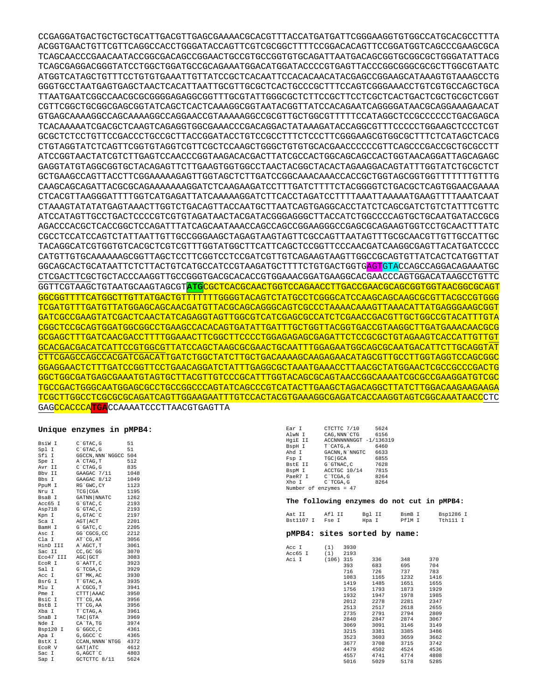CCGAGGATGACTGCTGCTGCATTGACGTTGAGCGAAAACGCACGTTTACCATGATGATTCGGGAAGGTGTGGCCATGCACGCCTTTA ACGGTGAACTGTTCGTTCAGGCCACCTGGGATACCAGTTCGTCGCGGCTTTTCCGGACACAGTTCCGGATGGTCAGCCCGAAGCGCA TCAGCAACCCGAACAATACCGGCGACAGCCGGAACTGCCGTGCCGGTGTGCAGATTAATGACAGCGGTGCGGCGCTGGGATATTACG TCAGCGAGGACGGGTATCCTGGCTGGATGCCGCAGAAATGGACATGGATACCCCGTGAGTTACCCGGCGGGCGCGCTTGGCGTAATC ATGGTCATAGCTGTTTCCTGTGTGAAATTGTTATCCGCTCACAATTCCACACAACATACGAGCCGGAAGCATAAAGTGTAAAGCCTG GGGTGCCTAATGAGTGAGCTAACTCACATTAATTGCGTTGCGCTCACTGCCCGCTTTCCAGTCGGGAAACCTGTCGTGCCAGCTGCA TTAATGAATCGGCCAACGCGCGGGGAGAGGCGGTTTGCGTATTGGGCGCTCTTCCGCTTCCTCGCTCACTGACTCGCTGCGCTCGGT CGTTCGGCTGCGGCGAGCGGTATCAGCTCACTCAAAGGCGGTAATACGGTTATCCACAGAATCAGGGGATAACGCAGGAAAGAACAT GTGAGCAAAAGGCCAGCAAAAGGCCAGGAACCGTAAAAAGGCCGCGTTGCTGGCGTTTTTCCATAGGCTCCGCCCCCCTGACGAGCA TCACAAAAATCGACGCTCAAGTCAGAGGTGGCGAAACCCGACAGGACTATAAAGATACCAGGCGTTTCCCCCTGGAAGCTCCCTCGT GCGCTCTCCTGTTCCGACCCTGCCGCTTACCGGATACCTGTCCGCCTTTCTCCCTTCGGGAAGCGTGGCGCTTTCTCATAGCTCACG CTGTAGGTATCTCAGTTCGGTGTAGGTCGTTCGCTCCAAGCTGGGCTGTGTGCACGAACCCCCCGTTCAGCCCGACCGCTGCGCCTT ATCCGGTAACTATCGTCTTGAGTCCAACCCGGTAAGACACGACTTATCGCCACTGGCAGCAGCCACTGGTAACAGGATTAGCAGAGC GAGGTATGTAGGCGGTGCTACAGAGTTCTTGAAGTGGTGGCCTAACTACGGCTACACTAGAAGGACAGTATTTGGTATCTGCGCTCT GCTGAAGCCAGTTACCTTCGGAAAAAGAGTTGGTAGCTCTTGATCCGGCAAACAAACCACCGCTGGTAGCGGTGGTTTTTTTGTTTG CAAGCAGCAGATTACGCGCAGAAAAAAAGGATCTCAAGAAGATCCTTTGATCTTTTCTACGGGGTCTGACGCTCAGTGGAACGAAAA CTCACGTTAAGGGATTTTGGTCATGAGATTATCAAAAAGGATCTTCACCTAGATCCTTTTAAATTAAAAATGAAGTTTTAAATCAAT CTAAAGTATATATGAGTAAACTTGGTCTGACAGTTACCAATGCTTAATCAGTGAGGCACCTATCTCAGCGATCTGTCTATTTCGTTC ATCCATAGTTGCCTGACTCCCCGTCGTGTAGATAACTACGATACGGGAGGGCTTACCATCTGGCCCCAGTGCTGCAATGATACCGCG AGACCCACGCTCACCGGCTCCAGATTTATCAGCAATAAACCAGCCAGCCGGAAGGGCCGAGCGCAGAAGTGGTCCTGCAACTTTATC CGCCTCCATCCAGTCTATTAATTGTTGCCGGGAAGCTAGAGTAAGTAGTTCGCCAGTTAATAGTTTGCGCAACGTTGTTGCCATTGC TACAGGCATCGTGGTGTCACGCTCGTCGTTTGGTATGGCTTCATTCAGCTCCGGTTCCCAACGATCAAGGCGAGTTACATGATCCCC CATGTTGTGCAAAAAAGCGGTTAGCTCCTTCGGTCCTCCGATCGTTGTCAGAAGTAAGTTGGCCGCAGTGTTATCACTCATGGTTAT GGCAGCACTGCATAATTCTCTTACTGTCATGCCATCCGTAAGATGCTTTTCTGTGACTGGTG<mark>AGT</mark>GTACCAGCCAGGACAGAAATGC CTCGACTTCGCTGCTACCCAAGGTTGCCGGGTGACGCACACCGTGGAAACGGATGAAGGCACGAACCCAGTGGACATAAGCCTGTTC GGTTCGTAAGCTGTAATGCAAGTAGCGT**ATG**CGCTCACGCAACTGGTCCAGAACCTTGACCGAACGCAGCGGTGGTAACGGCGCAGT GGCGGTTTTCATGGCTTGTTATGACTGTTTTTTTGGGGTACAGTCTATGCCTCGGGCATCCAAGCAGCAAGCGCGTTACGCCGTGGG TCGATGTTTGATGTTATGGAGCAGCAACGATGTTACGCAGCAGGGCAGTCGCCCTAAAACAAAGTTAAACATTATGAGGGAAGCGGT GATCGCCGAAGTATCGACTCAACTATCAGAGGTAGTTGGCGTCATCGAGCGCCATCTCGAACCGACGTTGCTGGCCGTACATTTGTA CGGCTCCGCAGTGGATGGCGGCCTGAAGCCACACAGTGATATTGATTTGCTGGTTACGGTGACCGTAAGGCTTGATGAAACAACGCG GCGAGCTTTGATCAACGACCTTTTGGAAACTTCGGCTTCCCCTGGAGAGAGCGAGATTCTCCGCGCTGTAGAAGTCACCATTGTTGT GCACGACGACATCATTCCGTGGCGTTATCCAGCTAAGCGCGAACTGCAATTTGGAGAATGGCAGCGCAATGACATTCTTGCAGGTAT CTTCGAGCCAGCCACGATCGACATTGATCTGGCTATCTTGCTGACAAAAGCAAGAGAACATAGCGTTGCCTTGGTAGGTCCAGCGGC GGAGGAACTCTTTGATCCGGTTCCTGAACAGGATCTATTTGAGGCGCTAAATGAAACCTTAACGCTATGGAACTCGCCGCCCGACTG GGCTGGCGATGAGCGAAATGTAGTGCTTACGTTGTCCCGCATTTGGTACAGCGCAGTAACCGGCAAAATCGCGCCGAAGGATGTCGC TGCCGACTGGGCAATGGAGCGCCTGCCGGCCCAGTATCAGCCCGTCATACTTGAAGCTAGACAGGCTTATCTTGGACAAGAAGAAGA TCGCTTGGCCTCGCGCGCAGATCAGTTGGAAGAATTTGTCCACTACGTGAAAGGCGAGATCACCAAGGTAGTCGGCAAATAACCCTC GAGCCACCCA**TGA**CCAAAATCCCTTAACGTGAGTTA

## **Unique enzymes in pMPB4:**

| BsiW I      | C`GTAC, G         | 51   |
|-------------|-------------------|------|
| Spl I       | C`GTAC, G         | 51   |
| Sfi I       | GGCCN, NNN `NGGCC | 504  |
| Spe I       | A`CTAG, T         | 512  |
| Avr II      | $C$ $CTAG$ , $G$  | 835  |
| Bby II      | GAAGAC 7/11       | 1048 |
| Bbs I       | $GAAGAC$ 8/12     | 1049 |
| PpuM I      | RG`GWC, CY        | 1123 |
| Nru I       | $TCG$ $CGA$       | 1195 |
| BsaB I      | GATNN   NNATC     | 1262 |
| Acc65 I     | G`GTAC, C         | 2193 |
| Asp718      | G`GTAC, C         | 2193 |
| Kpn I       | G, GTAC 'C        | 2197 |
| Sca I       | AGT   ACT         | 2201 |
| BamH I      | G`GATC, C         | 2205 |
| Asc I       | GG 'CGCG, CC      | 2212 |
| Cla I       | AT CG, AT         | 3056 |
| HinD III    | A`AGCT, T         | 3061 |
| Sac II      | CC, GC `GG        | 3070 |
| Eco47 III   | AGC GCT           | 3083 |
| EcoR I      | G`AATT, C         | 3923 |
| Sal I       | G`TCGA, C         | 3929 |
| Acc I       | GT `MK, AC        | 3930 |
| BsrG I      | T`GTAC, A         | 3935 |
| Mlu I       | A`CGCG, T         | 3941 |
| Pme I       | CTTT AAAC         | 3950 |
| BsiC I      | TT `CG, AA        | 3956 |
| BstB I      | TT CG, AA         | 3956 |
| Xba I       | T`CTAG, A         | 3961 |
| SnaB I      | TAC GTA           | 3969 |
| Nde I       | CA`TA, TG         | 3974 |
| Bsp120<br>I | G`GGCC, C         | 4361 |
| Apa I       | G, GGCC 'C        | 4365 |
| BstX I      | CCAN, NNNN `NTGG  | 4372 |
| ECOR V      | GAT ATC           | 4612 |
| Sac I       | G, AGCT `C        | 4803 |
| I<br>Sap    | GCTCTTC 8/11      | 5624 |

| Ear I                  | CTCTTC 7/10                                | 5624 |  |  |
|------------------------|--------------------------------------------|------|--|--|
| AlwN I                 | CAG.NNN`CTG                                | 6156 |  |  |
| HaiE II                | ACCNNNNNNGGT -1/136319                     |      |  |  |
| BspH I                 | T`CATG.A                                   | 6460 |  |  |
| Ahd I                  | GACNN.N`NNGTC 6633                         |      |  |  |
| Fsp I                  | TGC GCA                                    | 6855 |  |  |
| BstE II                | G`GTNAC.C                                  | 7628 |  |  |
| BspM I                 | ACCTGC 10/14                               | 7815 |  |  |
| PaeR7 I C`TCGA.G       |                                            | 8264 |  |  |
| Xho I                  | C`TCGA.G                                   | 8264 |  |  |
| Number of enzymes = 47 |                                            |      |  |  |
|                        |                                            |      |  |  |
|                        | The following enzymes do not cut in pMPB4: |      |  |  |
|                        |                                            |      |  |  |
|                        |                                            |      |  |  |

| Aat II    | Af1 TT | Bgl II | BsmB I | Bsp1286 I |  |
|-----------|--------|--------|--------|-----------|--|
| Bst1107 I | Fse I  | Hpa I  | Pf1M T | Tth111 I  |  |

## **pMPB4: sites sorted by name:**

| Acc I   | (1)   | 3930 |      |      |      |
|---------|-------|------|------|------|------|
| Acc65 I | (1)   | 2193 |      |      |      |
| Aci I   | (106) | 315  | 336  | 348  | 370  |
|         |       | 393  | 683  | 695  | 704  |
|         |       | 716  | 726  | 737  | 783  |
|         |       | 1083 | 1165 | 1232 | 1416 |
|         |       | 1419 | 1485 | 1651 | 1655 |
|         |       | 1756 | 1793 | 1873 | 1929 |
|         |       | 1932 | 1947 | 1978 | 1985 |
|         |       | 2012 | 2278 | 2281 | 2347 |
|         |       | 2513 | 2517 | 2618 | 2655 |
|         |       | 2735 | 2791 | 2794 | 2809 |
|         |       | 2840 | 2847 | 2874 | 3067 |
|         |       | 3069 | 3091 | 3146 | 3149 |
|         |       | 3215 | 3381 | 3385 | 3486 |
|         |       | 3523 | 3603 | 3659 | 3662 |
|         |       | 3677 | 3708 | 3715 | 3742 |
|         |       | 4479 | 4502 | 4524 | 4536 |
|         |       | 4557 | 4741 | 4774 | 4808 |
|         |       | 5016 | 5029 | 5178 | 5285 |
|         |       |      |      |      |      |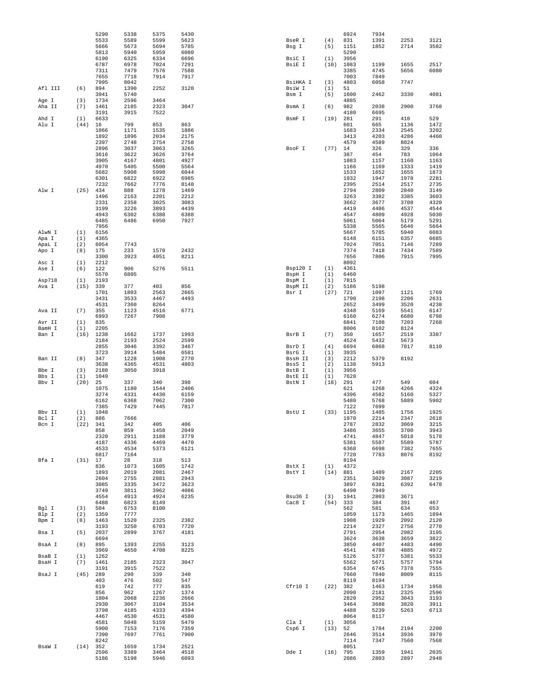|         |      | 5290        | 5338 | 5375 | 5430 |                |      | 6924         | 7934         |              |              |
|---------|------|-------------|------|------|------|----------------|------|--------------|--------------|--------------|--------------|
|         |      | 5533        | 5589 | 5599 | 5623 | BseR I         | (4)  | 831          | 1391         | 2253         | 3121         |
|         |      | 5666        | 5673 | 5694 | 5785 | Bsg I          | (5)  | 1151         | 1852         | 2714         | 3582         |
|         |      | 5813        | 5940 | 5959 | 6080 |                |      | 5290         |              |              |              |
|         |      | 6190        |      |      |      |                |      | 3956         |              |              |              |
|         |      |             | 6325 | 6334 | 6696 | BsiC I         | (1)  |              |              |              | 2517         |
|         |      | 6787        | 6978 | 7024 | 7291 | BsiE I         | (10) | 1083         | 1199         | 1655         |              |
|         |      | 7311        | 7479 | 7576 | 7588 |                |      | 3385         | 4745         | 5656         | 6080         |
|         |      | 7655        | 7718 | 7914 | 7917 |                |      | 7003         | 7849         |              |              |
|         |      | 7995        | 8042 |      |      | BsiHKA I       | (3)  | 4803         | 6058         | 7747         |              |
| Afl III | (6)  | 894         | 1390 | 2252 | 3120 | BsiW I         | (1)  | 51           |              |              |              |
|         |      | 3941        | 5740 |      |      | Bsm I          | (5)  | 1600         | 2462         | 3330         | 4081         |
| Age I   | (3)  | 1734        | 2596 | 3464 |      |                |      | 4885         |              |              |              |
| Aha II  | (7)  | 1461        | 2185 | 2323 | 3047 | BsmA I         | (6)  | 982          | 2038         | 2900         | 3768         |
|         |      | 3191        | 3915 | 7522 |      |                |      | 4180         | 6695         |              |              |
| Ahd I   | (1)  | 6633        |      |      |      | BsmF I         | (19) | 281          | 291          | 410          | 529          |
| Alu I   | (44) | 16          | 799  | 853  | 863  |                |      | 601          | 665          | 1136         | 1472         |
|         |      | 1066        | 1171 | 1535 | 1886 |                |      | 1683         | 2334         | 2545         | 3202         |
|         |      | 1892        | 1896 | 2034 | 2175 |                |      | 3413         | 4203         | 4286         | 4460         |
|         |      | 2397        | 2748 | 2754 | 2758 |                |      | 4579         | 4589         | 8024         |              |
|         |      | 2896        | 3037 | 3063 | 3265 | BsoF I         | (77) | 14           | 326          | 329          | 336          |
|         |      | 3616        | 3622 | 3626 | 3764 |                |      | 387          | 454          | 783          | 1064         |
|         |      | 3905        | 4167 | 4801 | 4927 |                |      | 1083         | 1157         | 1160         | 1163         |
|         |      | 4970        | 5405 | 5500 | 5564 |                |      | 1166         | 1169         | 1333         | 1419         |
|         |      | 5682        | 5908 | 5998 | 6044 |                |      | 1533         | 1652         | 1655         | 1873         |
|         |      | 6301        | 6822 | 6922 | 6985 |                |      | 1932         | 1947         | 1978         | 2281         |
|         |      | 7232        | 7662 | 7776 | 8148 |                |      | 2395         | 2514         | 2517         | 2735         |
| Alw I   | (25) | 434         | 888  | 1278 | 1469 |                |      | 2794         | 2809         | 2840         | 3149         |
|         |      | 1496        | 2163 | 2201 | 2212 |                |      | 3263         | 3382         | 3385         | 3603         |
|         |      | 2331        | 2358 | 3025 | 3083 |                |      | 3662         | 3677         | 3708         | 4320         |
|         |      | 3199        | 3226 | 3893 | 4439 |                |      | 4419         | 4486         | 4537         | 4544         |
|         |      | 4943        | 6302 | 6388 | 6388 |                |      | 4547         | 4809         | 4928         | 5030         |
|         |      |             |      |      |      |                |      |              |              |              |              |
|         |      | 6485        | 6486 | 6950 | 7927 |                |      | 5061         | 5064         | 5179         | 5291         |
|         |      | 7956        |      |      |      |                |      | 5338         | 5565         | 5646         | 5664         |
| AlwN I  | (1)  | 6156        |      |      |      |                |      | 5667         | 5785         | 5940         | 6083         |
| Apa I   | (1)  | 4365        |      |      |      |                |      | 6148         | 6151         | 6357         | 6685         |
| ApaL I  | (2)  | 6054        | 7743 |      |      |                |      | 7024         | 7051         | 7146         | 7289         |
| Apo I   | (8)  | 175         | 233  | 1570 | 2432 |                |      | 7374         | 7418         | 7434         | 7589         |
|         |      | 3300        | 3923 | 4051 | 8211 |                |      | 7656         | 7806         | 7915         | 7995         |
| Asc I   | (1)  | 2212        |      |      |      |                |      | 8092         |              |              |              |
| Ase I   | (6)  | 122         | 906  | 5276 | 5511 | Bsp120 I       | (1)  | 4361         |              |              |              |
|         |      | 5570        | 6805 |      |      | BspH I         | (1)  | 6460         |              |              |              |
| Asp718  | (1)  | 2193        |      |      |      | BspM I         | (1)  | 7815         |              |              |              |
| Ava I   | (15) | 339         | 377  | 403  | 856  | BspM II        | (2)  | 5186         | 5198         |              |              |
|         |      | 1701        | 1803 | 2563 | 2665 | Bsr I          | (27) | 721          | 1097         | 1121         | 1769         |
|         |      | 3431        | 3533 | 4467 | 4493 |                |      | 1790         | 2198         | 2206         | 2631         |
|         |      | 4531        | 7360 | 8264 |      |                |      | 2652         | 3499         | 3520         | 4238         |
| Ava II  | (7)  | 355         | 1123 | 4516 | 6771 |                |      | 4348         | 5169         | 5541         | 6147         |
|         |      | 6993        | 7267 | 7908 |      |                |      | 6160         | 6274         | 6680         | 6798         |
| Avr II  | (1)  | 835         |      |      |      |                |      | 6841         | 7108         | 7203         | 7268         |
| BamH I  | (1)  | 2205        |      |      |      |                |      | 8006         | 8102         | 8124         |              |
| Ban I   | (16) | 1238        | 1662 | 1737 | 1993 | BsrB I         | (7)  | 350          | 1657         | 2519         | 3387         |
|         |      | 2184        | 2193 | 2524 | 2599 |                |      | 4524         | 5432         | 5673         |              |
|         |      | 2855        | 3046 | 3392 | 3467 | BsrD I         | (4)  | 6694         | 6868         | 7817         | 8110         |
|         |      | 3723        | 3914 | 5484 |      | BsrG I         |      | 3935         |              |              |              |
|         |      |             |      |      | 6581 |                | (1)  |              |              |              |              |
| Ban II  | (8)  | 347         | 1228 | 1908 | 2770 | <b>BssH II</b> | (3)  | 2212         | 5379         | 8192         |              |
|         |      | 3638        | 4365 | 4531 | 4803 | BssS I         | (2)  | 1138         | 5913         |              |              |
| Bbe I   | (3)  | 2188        |      |      |      | BstB I         |      |              |              |              |              |
|         |      |             | 3050 | 3918 |      |                | (1)  | 3956         |              |              |              |
| Bbs I   | (1)  | 1049        |      |      |      | BstE II        | (1)  | 7628         |              |              |              |
| Bbv I   | (20) | 25          | 337  | 340  | 398  | BstN I         | (18) | 291          | 477          | 549          | 604          |
|         |      | 1075        | 1180 | 1544 | 2406 |                |      | 621          | 1268         | 4266         | 4324         |
|         |      | 3274        | 4331 | 4430 | 6159 |                |      | 4396         | 4582         | 5160         | 5327         |
|         |      | 6162        | 6368 | 7062 | 7300 |                |      | 5480         | 5768         | 5889         | 5902         |
|         |      | 7385        | 7429 | 7445 | 7817 |                |      | 7122         | 7699         |              |              |
| Bbv II  | (1)  | 1048        |      |      |      | BstU I         | (33) | 1195         | 1485         | 1756         | 1925         |
| Bcl I   | (2)  | 886         | 7666 |      |      |                |      | 1970         | 2214         | 2347         | 2618         |
| Bcn I   | (22) | 341         | 342  | 405  | 406  |                |      | 2787         | 2832         | 3069         | 3215         |
|         |      | 858         | 859  | 1458 | 2049 |                |      | 3486         | 3655         | 3700         | 3943         |
|         |      | 2320        | 2911 | 3188 | 3779 |                |      | 4741         | 4847         | 5018         | 5178         |
|         |      | 4187        | 4336 | 4469 | 4470 |                |      | 5381         | 5587         | 5589         | 5787         |
|         |      | 4533        | 4534 | 5373 | 6121 |                |      | 6368         | 6698         | 7382         | 7655         |
|         |      | 6817        | 7164 |      |      |                |      | 7720         | 7783         | 8076         | 8192         |
| Bfa I   | (31) | 17          | 28   | 318  | 513  |                |      | 8194         |              |              |              |
|         |      | 836         | 1073 | 1605 | 1742 | BstX I         | (1)  | 4372         |              |              |              |
|         |      | 1893        | 2019 | 2081 | 2467 | BstY I         | (14) | 881          | 1489         | 2167         | 2205         |
|         |      | 2604        | 2755 | 2881 | 2943 |                |      | 2351         | 3029         | 3087         | 3219         |
|         |      | 3085        | 3335 | 3472 | 3623 |                |      | 3897         | 6381         | 6392         | 6478         |
|         |      | 3749        | 3811 | 3962 | 4086 |                |      | 6490         | 7949         |              |              |
|         |      | 4554        | 4913 | 4924 | 6235 | Bsu36 I        | (3)  | 1941         | 2803         | 3671         |              |
|         |      | 6488        | 6823 | 8149 |      | Cac8 I         | (54) | 333          | 384          | 391          | 467          |
| Bgl I   | (3)  | 504         | 6753 | 8100 |      |                |      | 562          | 581          | 634          | 653          |
| Blp I   | (2)  | 1359        | 7777 |      |      |                |      | 1059         | 1173         | 1465         | 1894         |
| Bpm I   | (8)  | 1463        | 1520 | 2325 | 2382 |                |      | 1908         | 1929         | 2092         | 2120         |
|         |      | 3193        | 3250 | 6703 | 7720 |                |      | 2214         | 2327         | 2756         | 2770         |
| Bsa I   | (5)  | 2037        | 2899 |      | 4181 |                |      | 2791         | 2954         | 2982         |              |
|         |      |             |      | 3767 |      |                |      |              |              |              | 3195         |
| BsaA I  | (8)  | 6694<br>895 | 1393 | 2255 | 3123 |                |      | 3624<br>3850 | 3638<br>4407 | 3659<br>4483 | 3822<br>4490 |
|         |      |             |      |      |      |                |      |              |              |              |              |
|         |      | 3969        | 4650 | 4708 | 8225 |                |      | 4541         | 4788         | 4885         | 4972         |
| BsaB I  | (1)  | 1262        |      |      |      |                |      | 5126         | 5377         | 5381         | 5533         |
| BsaH I  | (7)  | 1461        | 2185 | 2323 | 3047 |                |      | 5562         | 5671         | 5757         | 5794         |
|         |      | 3191        | 3915 | 7522 |      |                |      | 6354         | 6745         | 7378         | 7555         |
| BsaJ I  | (45) | 289         | 290  | 339  | 340  |                |      | 7660         | 7840         | 8009         | 8115         |
|         |      | 403         | 476  | 502  | 547  |                |      | 8119         | 8194         |              |              |
|         |      | 619         | 742  | 777  | 835  | Cfr10 I        | (22) | 382          | 1463         | 1734         | 1958         |
|         |      | 856         | 962  | 1267 | 1374 |                |      | 2090         | 2181         | 2325         | 2596         |
|         |      | 1804        | 2068 | 2236 | 2666 |                |      | 2820         | 2952         | 3043         | 3193         |
|         |      | 2930        | 3067 | 3104 | 3534 |                |      | 3464         | 3688         | 3820         | 3911         |
|         |      | 3798        | 4185 | 4333 | 4394 |                |      | 4488         | 5239         | 5263         | 6713         |
|         |      | 4467        | 4530 | 4531 | 4580 |                |      | 8064         | 8117         |              |              |
|         |      | 4581        | 5048 | 5159 | 5479 | Cla I          | (1)  | 3056         |              |              |              |
|         |      | 5900        | 7153 | 7176 | 7359 | Csp6 I         | (13) | 52           | 1784         | 2194         | 2200         |
|         |      | 7390        | 7697 | 7761 | 7900 |                |      | 2646         | 3514         | 3936         | 3970         |
|         |      | 8242        |      |      |      |                |      | 7114         | 7347         | 7560         | 7568         |
| BsaW I  | (14) | 352         | 1659 | 1734 | 2521 |                |      | 8051         |              |              |              |
|         |      | 2596        | 3389 | 3464 | 4518 | Dde I          | (16) | 795          | 1359         | 1941         | 2035         |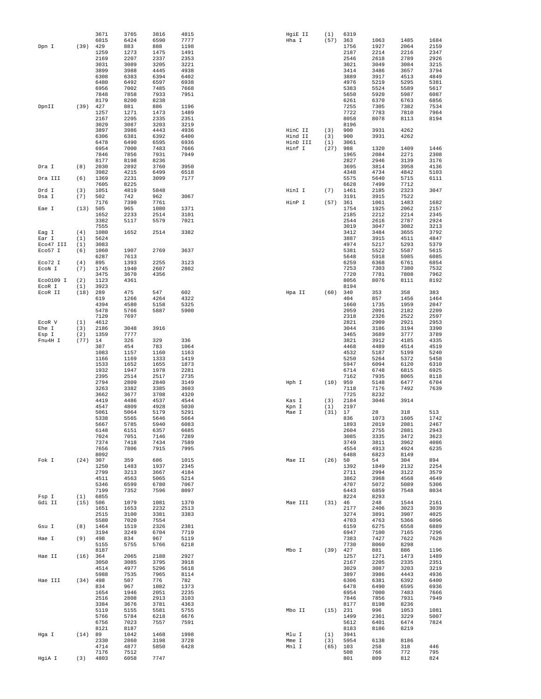|           |      | 3671         | 3765         | 3816         | 4815         | HgiE II        | (1)        | 6319         |              |              |              |
|-----------|------|--------------|--------------|--------------|--------------|----------------|------------|--------------|--------------|--------------|--------------|
|           |      | 6015         | 6424         | 6590         | 7777         | Hha I          | (57)       | 363          | 1063         | 1485         | 1684         |
| Dpn I     | (39) | 429          | 883          | 888          | 1198         |                |            | 1756         | 1927         | 2064         | 2159         |
|           |      | 1259<br>2169 | 1273<br>2207 | 1475<br>2337 | 1491<br>2353 |                |            | 2187<br>2546 | 2214<br>2618 | 2216<br>2789 | 2347<br>2926 |
|           |      | 3031         | 3089         | 3205         | 3221         |                |            | 3021         | 3049         | 3084         | 3215         |
|           |      | 3899         | 3988         | 4445         | 4938         |                |            | 3414         | 3486         | 3657         | 3794         |
|           |      | 6308         | 6383         | 6394         | 6402         |                |            | 3889         | 3917         | 4513         | 4849         |
|           |      | 6480         | 6492         | 6597         | 6938         |                |            | 4976         | 5219         | 5295         | 5381         |
|           |      | 6956         | 7002         | 7485         | 7668         |                |            | 5383         | 5524         | 5589         | 5617         |
|           |      | 7848         | 7858         | 7933         | 7951         |                |            | 5650         | 5920         | 5987         | 6087         |
| DpnII     | (39) | 8179<br>427  | 8200<br>881  | 8238<br>886  | 1196         |                |            | 6261<br>7255 | 6370<br>7305 | 6763<br>7382 | 6856<br>7534 |
|           |      | 1257         | 1271         | 1473         | 1489         |                |            | 7722         | 7783         | 7810         | 7964         |
|           |      | 2167         | 2205         | 2335         | 2351         |                |            | 8058         | 8078         | 8113         | 8194         |
|           |      | 3029         | 3087         | 3203         | 3219         |                |            | 8196         |              |              |              |
|           |      | 3897         | 3986         | 4443         | 4936         | HinC II        | (3)        | 900          | 3931         | 4262         |              |
|           |      | 6306         | 6381         | 6392         | 6400         | Hind II        | (3)        | 900          | 3931         | 4262         |              |
|           |      | 6478         | 6490         | 6595         | 6936         | HinD III       | (1)        | 3061         |              |              |              |
|           |      | 6954         | 7000         | 7483         | 7666         | Hinf I         | (27)       | 988          | 1320         | 1409         | 1446         |
|           |      | 7846<br>8177 | 7856<br>8198 | 7931<br>8236 | 7949         |                |            | 1965<br>2827 | 2084<br>2946 | 2271<br>3139 | 2308<br>3176 |
| Dra I     | (8)  | 2030         | 2892         | 3760         | 3950         |                |            | 3695         | 3814         | 3958         | 4136         |
|           |      | 3982         | 4215         | 6499         | 6518         |                |            | 4348         | 4734         | 4842         | 5103         |
| Dra III   | (6)  | 1369         | 2231         | 3099         | 7177         |                |            | 5575         | 5640         | 5715         | 6111         |
|           |      | 7605         | 8225         |              |              |                |            | 6628         | 7499         | 7712         |              |
| Drd I     | (3)  | 1051         | 4819         | 5848         |              | HinI I         | (7)        | 1461         | 2185         | 2323         | 3047         |
| Dsa I     | (7)  | 502          | 742          | 962          | 3067         |                |            | 3191         | 3915         | 7522         |              |
|           |      | 7176         | 7390         | 7761         |              | HinP I         | (57)       | 361          | 1061         | 1483         | 1682         |
| Eae I     | (13) | 505          | 965          | 1080         | 1371         |                |            | 1754         | 1925         | 2062         | 2157         |
|           |      | 1652         | 2233<br>5117 | 2514         | 3101<br>7021 |                |            | 2185<br>2544 | 2212<br>2616 | 2214<br>2787 | 2345         |
|           |      | 3382<br>7555 |              | 5579         |              |                |            | 3019         | 3047         | 3082         | 2924<br>3213 |
| Eag I     | (4)  | 1080         | 1652         | 2514         | 3382         |                |            | 3412         | 3484         | 3655         | 3792         |
| Ear I     | (1)  | 5624         |              |              |              |                |            | 3887         | 3915         | 4511         | 4847         |
| Eco47 III | (1)  | 3083         |              |              |              |                |            | 4974         | 5217         | 5293         | 5379         |
| Eco57 I   | (6)  | 1060         | 1907         | 2769         | 3637         |                |            | 5381         | 5522         | 5587         | 5615         |
|           |      | 6287         | 7613         |              |              |                |            | 5648         | 5918         | 5985         | 6085         |
| Eco72 I   | (4)  | 895          | 1393         | 2255         | 3123         |                |            | 6259         | 6368         | 6761         | 6854         |
| ECON I    | (7)  | 1745         | 1940         | 2607         | 2802         |                |            | 7253         | 7303         | 7380         | 7532         |
| Eco0109 I | (2)  | 3475<br>1123 | 3670<br>4361 | 4356         |              |                |            | 7720<br>8056 | 7781<br>8076 | 7808<br>8111 | 7962<br>8192 |
| EcoR I    | (1)  | 3923         |              |              |              |                |            | 8194         |              |              |              |
| ECOR II   | (18) | 289          | 475          | 547          | 602          | Hpa II         | (60)       | 340          | 353          | 358          | 383          |
|           |      | 619          | 1266         | 4264         | 4322         |                |            | 404          | 857          | 1456         | 1464         |
|           |      | 4394         | 4580         | 5158         | 5325         |                |            | 1660         | 1735         | 1959         | 2047         |
|           |      | 5478         | 5766         | 5887         | 5900         |                |            | 2059         | 2091         | 2182         | 2209         |
|           |      | 7120         | 7697         |              |              |                |            | 2318         | 2326         | 2522         | 2597         |
| ECOR V    | (1)  | 4612         |              |              |              |                |            | 2821         | 2909         | 2921         | 2953         |
| Ehe I     | (3)  | 2186         | 3048         | 3916         |              |                |            | 3044         | 3186         | 3194         | 3390         |
| Esp I     | (2)  | 1359         | 7777         |              |              |                |            | 3465         | 3689         | 3777         | 3789         |
| Fnu4H I   | (77) | 14<br>387    | 326<br>454   | 329<br>783   | 336<br>1064  |                |            | 3821<br>4468 | 3912<br>4489 | 4185<br>4514 | 4335<br>4519 |
|           |      | 1083         | 1157         | 1160         | 1163         |                |            | 4532         | 5187         | 5199         | 5240         |
|           |      | 1166         | 1169         | 1333         | 1419         |                |            | 5250         | 5264         | 5372         | 5458         |
|           |      | 1533         | 1652         | 1655         | 1873         |                |            | 5947         | 6094         | 6120         | 6310         |
|           |      | 1932         | 1947         | 1978         | 2281         |                |            | 6714         | 6748         | 6815         | 6925         |
|           |      | 2395         | 2514         | 2517         | 2735         |                |            | 7162         | 7935         | 8065         | 8118         |
|           |      | 2794         | 2809         | 2840         | 3149         | Hph I          | (10)       | 959          | 5148         | 6477         | 6704         |
|           |      | 3263         | 3382         | 3385         | 3603         |                |            | 7118         | 7176         | 7492         | 7639         |
|           |      | 3662         | 3677         | 3708         | 4320         |                |            | 7725<br>2184 | 8232<br>3046 | 3914         |              |
|           |      | 4419<br>4547 | 4486<br>4809 | 4537<br>4928 | 4544<br>5030 | Kas I<br>Kpn I | (3)<br>(1) | 2197         |              |              |              |
|           |      | 5061         | 5064         | 5179         | 5291         | Mae I          | (31)       | 17           | 28           | 318          | 513          |
|           |      | 5338         | 5565         | 5646         | 5664         |                |            | 836          | 1073         | 1605         | 1742         |
|           |      | 5667         | 5785         | 5940         | 6083         |                |            | 1893         | 2019         | 2081         | 2467         |
|           |      | 6148         | 6151         | 6357         | 6685         |                |            | 2604         | 2755         | 2881         | 2943         |
|           |      | 7024         | 7051         | 7146         | 7289         |                |            | 3085         | 3335         | 3472         | 3623         |
|           |      | 7374         | 7418         | 7434         | 7589         |                |            | 3749         | 3811         | 3962         | 4086         |
|           |      | 7656<br>8092 | 7806         | 7915         | 7995         |                |            | 4554<br>6488 | 4913<br>6823 | 4924         | 6235         |
| Fok I     | (24) | 307          | 359          | 686          | 1015         | Mae II         | (26)       | 50           | 54           | 8149<br>304  | 894          |
|           |      | 1250         | 1483         | 1937         | 2345         |                |            | 1392         | 1849         | 2132         | 2254         |
|           |      | 2799         | 3213         | 3667         | 4184         |                |            | 2711         | 2994         | 3122         | 3579         |
|           |      | 4511         | 4563         | 5065         | 5214         |                |            | 3862         | 3968         | 4568         | 4649         |
|           |      | 5346         | 6599         | 6780         | 7067         |                |            | 4707         | 5072         | 5089         | 5306         |
|           |      | 7199         | 7352         | 7596         | 8097         |                |            | 6443         | 6859         | 7548         | 8034         |
| Fsp I     | (1)  | 6855         |              |              |              |                |            | 8224         | 8293         |              |              |
| Gdi II    | (15) | 506          | 1079         | 1081         | 1370<br>2513 | Mae III        | (31)       | 46<br>2177   | 248<br>2406  | 1544<br>3023 | 2161<br>3039 |
|           |      | 1651<br>2515 | 1653<br>3100 | 2232<br>3381 | 3383         |                |            | 3274         | 3891         | 3907         | 4025         |
|           |      | 5580         | 7020         | 7554         |              |                |            | 4703         | 4763         | 5366         | 6096         |
| Gsu I     | (8)  | 1464         | 1519         | 2326         | 2381         |                |            | 6159         | 6275         | 6558         | 6889         |
|           |      | 3194         | 3249         | 6704         | 7719         |                |            | 6947         | 7100         | 7165         | 7296         |
| Hae I     | (9)  | 498          | 834          | 967          | 5119         |                |            | 7383         | 7427         | 7622         | 7628         |
|           |      | 5155         | 5755         | 5766         | 6218         |                |            | 7730         | 8060         | 8298         |              |
|           |      | 8187         |              |              |              | Mbo I          | (39)       | 427          | 881          | 886          | 1196         |
| Hae II    | (16) | 364          | 2065         | 2188         | 2927         |                |            | 1257         | 1271         | 1473         | 1489         |
|           |      | 3050<br>4514 | 3085<br>4977 | 3795<br>5296 | 3918<br>5618 |                |            | 2167<br>3029 | 2205<br>3087 | 2335<br>3203 | 2351<br>3219 |
|           |      | 5988         | 7535         | 7965         | 8114         |                |            | 3897         | 3986         | 4443         | 4936         |
| Hae III   | (34) | 498          | 507          | 776          | 782          |                |            | 6306         | 6381         | 6392         | 6400         |
|           |      | 834          | 967          | 1082         | 1373         |                |            | 6478         | 6490         | 6595         | 6936         |
|           |      | 1654         | 1946         | 2051         | 2235         |                |            | 6954         | 7000         | 7483         | 7666         |
|           |      | 2516         | 2808         | 2913         | 3103         |                |            | 7846         | 7856         | 7931         | 7949         |
|           |      | 3384         | 3676         | 3781         | 4363         |                |            | 8177         | 8198         | 8236         |              |
|           |      | 5119         | 5155         | 5581         | 5755         | Mbo II         | (15)       | 231          | 996          | 1053         | 1081         |
|           |      | 5766         | 5784         | 6218         | 6676         |                |            | 1499         | 2361         | 3229         | 5007         |
|           |      | 6756         | 7023         | 7557         | 7591         |                |            | 5612         | 6401         | 6474         | 7824         |
|           | (14) | 8121         | 8187<br>1042 | 1468         | 1998         |                | (1)        | 8183<br>3941 | 8186         | 8219         |              |
| Hga I     |      | 89<br>2330   | 2860         | 3198         | 3728         | Mlu I<br>Mme I | (3)        | 5954         | 6138         | 8186         |              |
|           |      | 4714         | 4877         | 5850         | 6428         | Mnl I          | (65)       | 103          | 258          | 318          | 446          |
|           |      | 7176         | 7512         |              |              |                |            | 508          | 766          | 772          | 795          |
| HgiA I    | (3)  | 4803         | 6058         | 7747         |              |                |            | 801          | 809          | 812          | 824          |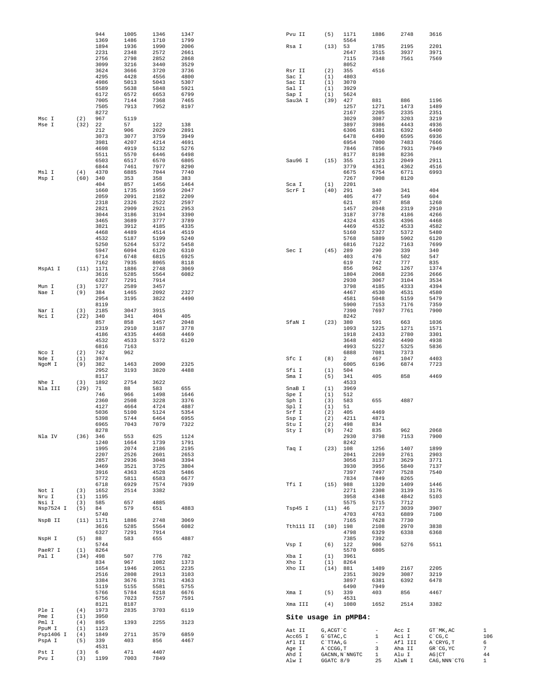|                     |             | 944<br>1369  | 1005<br>1486 | 1346<br>1710 | 1347<br>1799 | Pvu II               | (5)                    | 1171<br>5564   | 1886                          | 2748              | 3616                   |              |
|---------------------|-------------|--------------|--------------|--------------|--------------|----------------------|------------------------|----------------|-------------------------------|-------------------|------------------------|--------------|
|                     |             | 1894         | 1936         | 1990         | 2006         | Rsa I                | (13)                   | 53             | 1785                          | 2195              | 2201                   |              |
|                     |             | 2231<br>2756 | 2348<br>2798 | 2572<br>2852 | 2661<br>2868 |                      |                        | 2647<br>7115   | 3515<br>7348                  | 3937<br>7561      | 3971<br>7569           |              |
|                     |             | 3099         | 3216         | 3440         | 3529         |                      |                        | 8052           |                               |                   |                        |              |
|                     |             | 3624<br>4295 | 3666<br>4428 | 3720<br>4556 | 3736<br>4800 | Rsr II<br>Sac I      | (2)<br>(1)             | 355<br>4803    | 4516                          |                   |                        |              |
|                     |             | 4986         | 5013         | 5043         | 5307         | Sac II               | (1)                    | 3070           |                               |                   |                        |              |
|                     |             | 5589<br>6172 | 5638<br>6572 | 5848<br>6653 | 5921<br>6799 | Sal I<br>Sap I       | (1)<br>(1)             | 3929<br>5624   |                               |                   |                        |              |
|                     |             | 7005         | 7144         | 7368         | 7465         | Sau3A I              | (39)                   | 427            | 881                           | 886               | 1196                   |              |
|                     |             | 7505<br>8272 | 7913         | 7952         | 8197         |                      |                        | 1257<br>2167   | 1271<br>2205                  | 1473<br>2335      | 1489<br>2351           |              |
| Msc I               | (2)         | 967          | 5119         |              |              |                      |                        | 3029           | 3087                          | 3203              | 3219                   |              |
| Mse I               | (32)        | 22<br>212    | 57<br>906    | 122<br>2029  | 138<br>2891  |                      |                        | 3897<br>6306   | 3986<br>6381                  | 4443<br>6392      | 4936<br>6400           |              |
|                     |             | 3073         | 3077         | 3759         | 3949         |                      |                        | 6478           | 6490                          | 6595              | 6936                   |              |
|                     |             | 3981<br>4698 | 4207<br>4919 | 4214<br>5132 | 4691<br>5276 |                      |                        | 6954<br>7846   | 7000<br>7856                  | 7483<br>7931      | 7666<br>7949           |              |
|                     |             | 5511         | 5570         | 6446         | 6498         |                      |                        | 8177           | 8198                          | 8236              |                        |              |
|                     |             | 6503<br>6844 | 6517<br>7461 | 6570<br>7977 | 6805<br>8290 | Sau96 I              | (15)                   | 355<br>3779    | 1123<br>4361                  | 2049<br>4362      | 2911<br>4516           |              |
| Msl I               | (4)         | 4370         | 6885         | 7044         | 7740         |                      |                        | 6675           | 6754                          | 6771              | 6993                   |              |
| Msp I               | (60)        | 340<br>404   | 353<br>857   | 358<br>1456  | 383<br>1464  | Sca I                | (1)                    | 7267<br>2201   | 7908                          | 8120              |                        |              |
|                     |             | 1660         | 1735         | 1959         | 2047         | $\tt SCrF$ I         | (40)                   | 291            | 340                           | 341               | 404                    |              |
|                     |             | 2059<br>2318 | 2091<br>2326 | 2182<br>2522 | 2209<br>2597 |                      |                        | 405<br>621     | 477<br>857                    | 549<br>858        | 604<br>1268            |              |
|                     |             | 2821         | 2909         | 2921         | 2953         |                      |                        | 1457           | 2048                          | 2319              | 2910                   |              |
|                     |             | 3044<br>3465 | 3186<br>3689 | 3194<br>3777 | 3390<br>3789 |                      |                        | 3187<br>4324   | 3778<br>4335                  | 4186<br>4396      | 4266<br>4468           |              |
|                     |             | 3821         | 3912         | 4185         | 4335         |                      |                        | 4469           | 4532                          | 4533              | 4582                   |              |
|                     |             | 4468<br>4532 | 4489<br>5187 | 4514<br>5199 | 4519<br>5240 |                      |                        | 5160<br>5768   | 5327<br>5889                  | 5372<br>5902      | 5480<br>6120           |              |
|                     |             | 5250         | 5264         | 5372         | 5458         |                      |                        | 6816           | 7122                          | 7163              | 7699                   |              |
|                     |             | 5947<br>6714 | 6094<br>6748 | 6120<br>6815 | 6310<br>6925 | Sec I                | (45)                   | 289<br>403     | 290<br>476                    | 339<br>502        | 340<br>547             |              |
|                     |             | 7162         | 7935         | 8065         | 8118         |                      |                        | 619            | 742                           | 777               | 835                    |              |
| MspAl I             | (11)        | 1171<br>3616 | 1886<br>5285 | 2748<br>5564 | 3069<br>6082 |                      |                        | 856<br>1804    | 962<br>2068                   | 1267<br>2236      | 1374<br>2666           |              |
|                     |             | 6327         | 7291         | 7914         |              |                      |                        | 2930           | 3067                          | 3104              | 3534                   |              |
| Mun I<br>Nae I      | (3)<br>(9)  | 1727<br>384  | 2589<br>1465 | 3457<br>2092 | 2327         |                      |                        | 3798<br>4467   | 4185<br>4530                  | 4333<br>4531      | 4394<br>4580           |              |
|                     |             | 2954         | 3195         | 3822         | 4490         |                      |                        | 4581           | 5048                          | 5159              | 5479                   |              |
| Nar I               | (3)         | 8119<br>2185 | 3047         | 3915         |              |                      |                        | 5900<br>7390   | 7153<br>7697                  | 7176<br>7761      | 7359<br>7900           |              |
| Nci I               | (22)        | 340          | 341          | 404          | 405          |                      |                        | 8242           |                               |                   |                        |              |
|                     |             | 857<br>2319  | 858<br>2910  | 1457<br>3187 | 2048<br>3778 | SfaN I               | (23)                   | 380<br>1093    | 591<br>1225                   | 663<br>1271       | 1036<br>1571           |              |
|                     |             | 4186         | 4335         | 4468         | 4469         |                      |                        | 1918           | 2433                          | 2780              | 3301                   |              |
|                     |             | 4532<br>6816 | 4533<br>7163 | 5372         | 6120         |                      |                        | 3648<br>4993   | 4052<br>5227                  | 4490<br>5325      | 4938<br>5836           |              |
| Nco I               | (2)         | 742          | 962          |              |              |                      |                        | 6888           | 7081                          | 7373              |                        |              |
| Nde I<br>NgoM I     | (1)<br>(9)  | 3974<br>382  | 1463         | 2090         | 2325         | Sfc I                | (8)                    | 2<br>6005      | 467<br>6196                   | 1047<br>6874      | 4403<br>7723           |              |
|                     |             | 2952         | 3193         | 3820         | 4488         | Sfi I                | (1)                    | 504            |                               |                   |                        |              |
| Nhe I               | (3)         | 8117<br>1892 | 2754         | 3622         |              | Sma I                | (5)                    | 341<br>4533    | 405                           | 858               | 4469                   |              |
| Nla III             | (29)        | 71<br>746    | 88<br>966    | 583<br>1498  | 655<br>1646  | SnaB I<br>Spe I      | (1)<br>(1)             | 3969<br>512    |                               |                   |                        |              |
|                     |             | 2360         | 2508         | 3228         | 3376         | Sph I                | (3)                    | 583            | 655                           | 4887              |                        |              |
|                     |             | 4127<br>5036 | 4664<br>5100 | 4724<br>5124 | 4887<br>5354 | Spl I<br>Srf I       | (1)<br>(2)             | 51<br>405      | 4469                          |                   |                        |              |
|                     |             | 5398         | 5744         | 6464         | 6955         | Ssp I                | (2)                    | 4211           | 4871                          |                   |                        |              |
|                     |             | 6965<br>8278 | 7043         | 7079         | 7322         | Stu I<br>Sty I       | (2)<br>(9)             | 498<br>742     | 834<br>835                    | 962               | 2068                   |              |
| Nla IV              | (36)        | 346          | 553          | 625          | 1124         |                      |                        | 2930           | 3798                          | 7153              | 7900                   |              |
|                     |             | 1240<br>1995 | 1664<br>2074 | 1739<br>2186 | 1791<br>2195 | Taq I                | (23)                   | 8242<br>108    | 1256                          | 1407              | 1899                   |              |
|                     |             | 2207         | 2526         | 2601         | 2653         |                      |                        | 2041           | 2269                          | 2761              | 2903                   |              |
|                     |             | 2857<br>3469 | 2936<br>3521 | 3048<br>3725 | 3394<br>3804 |                      |                        | 3056<br>3930   | 3137<br>3956                  | 3629<br>5840      | 3771<br>7137           |              |
|                     |             | 3916         | 4363         | 4528         | 5486         |                      |                        | 7397           | 7497                          | 7528              | 7540                   |              |
|                     |             | 5772<br>6718 | 5811<br>6929 | 6583<br>7574 | 6677<br>7939 | Tfi I                | (15)                   | 7834<br>988    | 7849<br>1320                  | 8265<br>1409      | 1446                   |              |
| Not I               | (3)         | 1652         | 2514         | 3382         |              |                      |                        | 2271           | 2308                          | 3139              | 3176                   |              |
| Nru I<br>Nsi I      | (1)<br>(3)  | 1195<br>585  | 657          | 4885         |              |                      |                        | 3958<br>5575   | 4348<br>5715                  | 4842<br>7712      | 5103                   |              |
| Nsp7524 I           | (5)         | 84           | 579          | 651          | 4883         | Tsp45 I              | (11)                   | 46             | 2177                          | 3039              | 3907                   |              |
| NspB II             | (11)        | 5740<br>1171 | 1886         | 2748         | 3069         |                      |                        | 4703<br>7165   | 4763<br>7628                  | 6889<br>7730      | 7100                   |              |
|                     |             | 3616         | 5285         | 5564         | 6082         | Tth111 II            | (10)                   | 198            | 2108                          | 2970              | 3838                   |              |
| NspH I              | (5)         | 6327<br>88   | 7291<br>583  | 7914<br>655  | 4887         |                      |                        | 4798<br>7385   | 6329<br>7392                  | 6338              | 6368                   |              |
|                     |             | 5744         |              |              |              | Vsp I                | (6)                    | 122            | 906                           | 5276              | 5511                   |              |
| PaeR7 I<br>Pal I    | (1)<br>(34) | 8264<br>498  | 507          | 776          | 782          | Xba I                | (1)                    | 5570<br>3961   | 6805                          |                   |                        |              |
|                     |             | 834          | 967          | 1082         | 1373         | Xho I                | (1)                    | 8264           |                               |                   |                        |              |
|                     |             | 1654<br>2516 | 1946<br>2808 | 2051<br>2913 | 2235<br>3103 | Xho II               | (14)                   | 881<br>2351    | 1489<br>3029                  | 2167<br>3087      | 2205<br>3219           |              |
|                     |             | 3384         | 3676         | 3781         | 4363         |                      |                        | 3897           | 6381                          | 6392              | 6478                   |              |
|                     |             | 5119<br>5766 | 5155<br>5784 | 5581<br>6218 | 5755<br>6676 | Xma I                | (5)                    | 6490<br>339    | 7949<br>403                   | 856               | 4467                   |              |
|                     |             | 6756         | 7023         | 7557         | 7591         |                      |                        | 4531           |                               |                   |                        |              |
| Ple I               | (4)         | 8121<br>1973 | 8187<br>2835 | 3703         | 6119         | Xma III              | (4)                    | 1080           | 1652                          | 2514              | 3382                   |              |
| Pme I<br>Pml I      | (1)<br>(4)  | 3950<br>895  | 1393         |              | 3123         | Site usage in pMPB4: |                        |                |                               |                   |                        |              |
| PpuM I              | (1)         | 1123         |              | 2255         |              | Aat II               | G, ACGT `C             |                | $\overline{\phantom{a}}$      | Acc I             | GT `MK, AC             | $\mathbf{1}$ |
| Psp1406 I<br>PspA I | (4)<br>(5)  | 1849<br>339  | 2711<br>403  | 3579<br>856  | 6859<br>4467 | Acc65 I              | G`GTAC, C              |                | $\mathbf{1}$                  | Aci I             | $C^{\wedge}CG, C$      | 106          |
|                     |             | 4531         |              |              |              | Afl II<br>Age I      | C`TTAA, G<br>A`CCGG, T |                | $\overline{\phantom{a}}$<br>3 | Afl III<br>Aha II | A`CRYG, T<br>GR CG, YC | 6<br>7       |
| Pst I<br>Pvu I      | (3)<br>(3)  | 6<br>1199    | 471<br>7003  | 4407<br>7849 |              | Ahd I                |                        | GACNN, N`NNGTC | $\mathbf{1}$                  | Alu I             | $AG$ $CT$              | 44           |
|                     |             |              |              |              |              | Alw I                | GGATC 8/9              |                | 25                            | AlwN I            | CAG, NNN `CTG          | $\mathbf{1}$ |